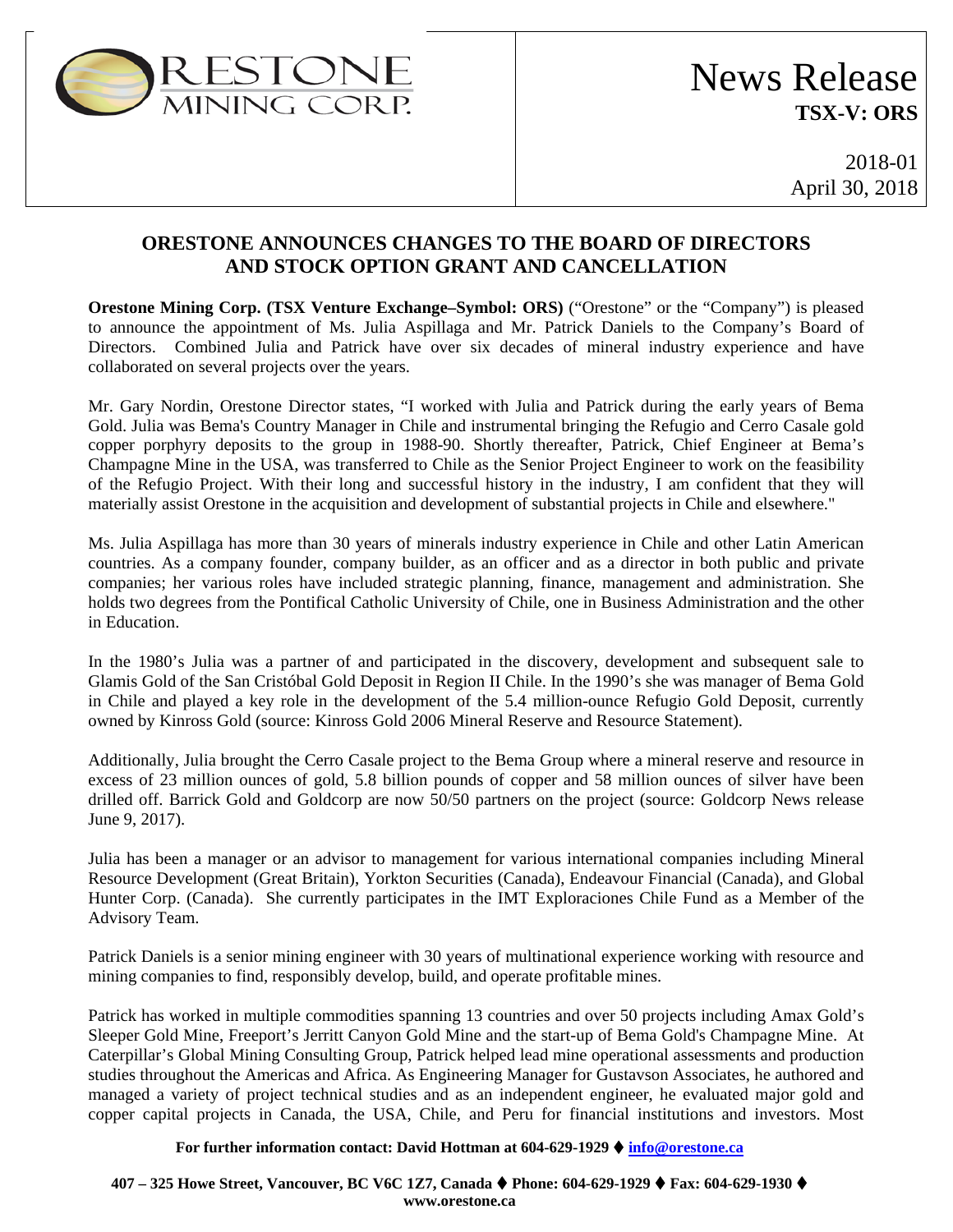

# News Release **TSX-V: ORS**

2018-01 April 30, 2018

### **ORESTONE ANNOUNCES CHANGES TO THE BOARD OF DIRECTORS AND STOCK OPTION GRANT AND CANCELLATION**

**Orestone Mining Corp. (TSX Venture Exchange–Symbol: ORS)** ("Orestone" or the "Company") is pleased to announce the appointment of Ms. Julia Aspillaga and Mr. Patrick Daniels to the Company's Board of Directors. Combined Julia and Patrick have over six decades of mineral industry experience and have collaborated on several projects over the years.

Mr. Gary Nordin, Orestone Director states, "I worked with Julia and Patrick during the early years of Bema Gold. Julia was Bema's Country Manager in Chile and instrumental bringing the Refugio and Cerro Casale gold copper porphyry deposits to the group in 1988-90. Shortly thereafter, Patrick, Chief Engineer at Bema's Champagne Mine in the USA, was transferred to Chile as the Senior Project Engineer to work on the feasibility of the Refugio Project. With their long and successful history in the industry, I am confident that they will materially assist Orestone in the acquisition and development of substantial projects in Chile and elsewhere."

Ms. Julia Aspillaga has more than 30 years of minerals industry experience in Chile and other Latin American countries. As a company founder, company builder, as an officer and as a director in both public and private companies; her various roles have included strategic planning, finance, management and administration. She holds two degrees from the Pontifical Catholic University of Chile, one in Business Administration and the other in Education.

In the 1980's Julia was a partner of and participated in the discovery, development and subsequent sale to Glamis Gold of the San Cristóbal Gold Deposit in Region II Chile. In the 1990's she was manager of Bema Gold in Chile and played a key role in the development of the 5.4 million-ounce Refugio Gold Deposit, currently owned by Kinross Gold (source: Kinross Gold 2006 Mineral Reserve and Resource Statement).

Additionally, Julia brought the Cerro Casale project to the Bema Group where a mineral reserve and resource in excess of 23 million ounces of gold, 5.8 billion pounds of copper and 58 million ounces of silver have been drilled off. Barrick Gold and Goldcorp are now 50/50 partners on the project (source: Goldcorp News release June 9, 2017).

Julia has been a manager or an advisor to management for various international companies including Mineral Resource Development (Great Britain), Yorkton Securities (Canada), Endeavour Financial (Canada), and Global Hunter Corp. (Canada). She currently participates in the IMT Exploraciones Chile Fund as a Member of the Advisory Team.

Patrick Daniels is a senior mining engineer with 30 years of multinational experience working with resource and mining companies to find, responsibly develop, build, and operate profitable mines.

Patrick has worked in multiple commodities spanning 13 countries and over 50 projects including Amax Gold's Sleeper Gold Mine, Freeport's Jerritt Canyon Gold Mine and the start-up of Bema Gold's Champagne Mine. At Caterpillar's Global Mining Consulting Group, Patrick helped lead mine operational assessments and production studies throughout the Americas and Africa. As Engineering Manager for Gustavson Associates, he authored and managed a variety of project technical studies and as an independent engineer, he evaluated major gold and copper capital projects in Canada, the USA, Chile, and Peru for financial institutions and investors. Most

### **For further information contact: David Hottman at 604-629-1929 [info@orestone.ca](mailto:info@orestone.ca)**

**407 – 325 Howe Street, Vancouver, BC V6C 1Z7, Canada Phone: 604-629-1929 Fax: 604-629-1930 www.orestone.ca**